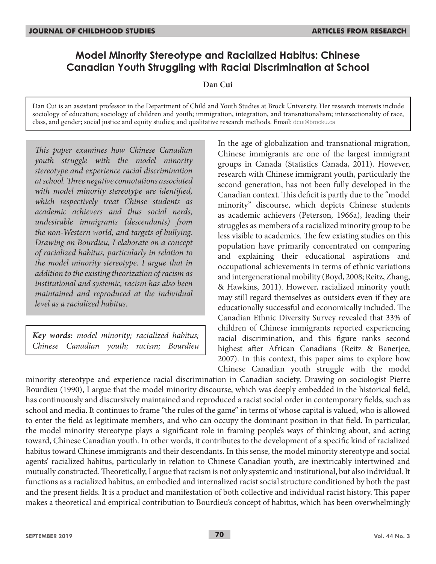# **Model Minority Stereotype and Racialized Habitus: Chinese Canadian Youth Struggling with Racial Discrimination at School**

**Dan Cui**

Dan Cui is an assistant professor in the Department of Child and Youth Studies at Brock University. Her research interests include sociology of education; sociology of children and youth; immigration, integration, and transnationalism; intersectionality of race, class, and gender; social justice and equity studies; and qualitative research methods. Email: dcui@brocku.ca

*This paper examines how Chinese Canadian youth struggle with the model minority stereotype and experience racial discrimination at school. Three negative connotations associated with model minority stereotype are identified, which respectively treat Chinse students as academic achievers and thus social nerds, undesirable immigrants (descendants) from the non-Western world, and targets of bullying. Drawing on Bourdieu, I elaborate on a concept of racialized habitus, particularly in relation to the model minority stereotype. I argue that in addition to the existing theorization of racism as institutional and systemic, racism has also been maintained and reproduced at the individual level as a racialized habitus.*

*Key words: model minority; racialized habitus; Chinese Canadian youth; racism; Bourdieu*

In the age of globalization and transnational migration, Chinese immigrants are one of the largest immigrant groups in Canada (Statistics Canada, 2011). However, research with Chinese immigrant youth, particularly the second generation, has not been fully developed in the Canadian context. This deficit is partly due to the "model minority" discourse, which depicts Chinese students as academic achievers (Peterson*,* 1966a), leading their struggles as members of a racialized minority group to be less visible to academics. The few existing studies on this population have primarily concentrated on comparing and explaining their educational aspirations and occupational achievements in terms of ethnic variations and intergenerational mobility (Boyd, 2008; Reitz, Zhang, & Hawkins, 2011). However, racialized minority youth may still regard themselves as outsiders even if they are educationally successful and economically included. The Canadian Ethnic Diversity Survey revealed that 33% of children of Chinese immigrants reported experiencing racial discrimination, and this figure ranks second highest after African Canadians (Reitz & Banerjee, 2007). In this context, this paper aims to explore how Chinese Canadian youth struggle with the model

minority stereotype and experience racial discrimination in Canadian society. Drawing on sociologist Pierre Bourdieu (1990), I argue that the model minority discourse, which was deeply embedded in the historical field, has continuously and discursively maintained and reproduced a racist social order in contemporary fields, such as school and media. It continues to frame "the rules of the game" in terms of whose capital is valued, who is allowed to enter the field as legitimate members, and who can occupy the dominant position in that field. In particular, the model minority stereotype plays a significant role in framing people's ways of thinking about, and acting toward, Chinese Canadian youth. In other words, it contributes to the development of a specific kind of racialized habitus toward Chinese immigrants and their descendants. In this sense, the model minority stereotype and social agents' racialized habitus, particularly in relation to Chinese Canadian youth, are inextricably intertwined and mutually constructed. Theoretically, I argue that racism is not only systemic and institutional, but also individual. It functions as a racialized habitus, an embodied and internalized racist social structure conditioned by both the past and the present fields. It is a product and manifestation of both collective and individual racist history. This paper makes a theoretical and empirical contribution to Bourdieu's concept of habitus, which has been overwhelmingly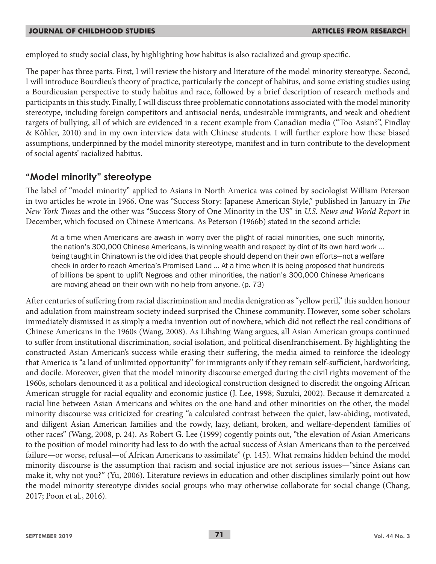employed to study social class, by highlighting how habitus is also racialized and group specific.

The paper has three parts. First, I will review the history and literature of the model minority stereotype. Second, I will introduce Bourdieu's theory of practice, particularly the concept of habitus, and some existing studies using a Bourdieusian perspective to study habitus and race, followed by a brief description of research methods and participants in this study. Finally, I will discuss three problematic connotations associated with the model minority stereotype, including foreign competitors and antisocial nerds, undesirable immigrants, and weak and obedient targets of bullying, all of which are evidenced in a recent example from Canadian media ("Too Asian?", Findlay & Köhler, 2010) and in my own interview data with Chinese students. I will further explore how these biased assumptions, underpinned by the model minority stereotype, manifest and in turn contribute to the development of social agents' racialized habitus.

## **"Model minority" stereotype**

The label of "model minority" applied to Asians in North America was coined by sociologist William Peterson in two articles he wrote in 1966. One was "Success Story: Japanese American Style," published in January in *The New York Times* and the other was "Success Story of One Minority in the US" in *U.S. News and World Report* in December, which focused on Chinese Americans. As Peterson (1966b) stated in the second article:

At a time when Americans are awash in worry over the plight of racial minorities, one such minority, the nation's 300,000 Chinese Americans, is winning wealth and respect by dint of its own hard work … being taught in Chinatown is the old idea that people should depend on their own efforts—not a welfare check in order to reach America's Promised Land … At a time when it is being proposed that hundreds of billions be spent to uplift Negroes and other minorities, the nation's 300,000 Chinese Americans are moving ahead on their own with no help from anyone. (p. 73)

After centuries of suffering from racial discrimination and media denigration as "yellow peril," this sudden honour and adulation from mainstream society indeed surprised the Chinese community. However, some sober scholars immediately dismissed it as simply a media invention out of nowhere, which did not reflect the real conditions of Chinese Americans in the 1960s (Wang, 2008). As Lihshing Wang argues, all Asian American groups continued to suffer from institutional discrimination, social isolation, and political disenfranchisement. By highlighting the constructed Asian American's success while erasing their suffering, the media aimed to reinforce the ideology that America is "a land of unlimited opportunity" for immigrants only if they remain self-sufficient, hardworking, and docile. Moreover, given that the model minority discourse emerged during the civil rights movement of the 1960s, scholars denounced it as a political and ideological construction designed to discredit the ongoing African American struggle for racial equality and economic justice (J. Lee, 1998; Suzuki, 2002). Because it demarcated a racial line between Asian Americans and whites on the one hand and other minorities on the other, the model minority discourse was criticized for creating "a calculated contrast between the quiet, law-abiding, motivated, and diligent Asian American families and the rowdy, lazy, defiant, broken, and welfare-dependent families of other races" (Wang, 2008, p. 24). As Robert G. Lee (1999) cogently points out, "the elevation of Asian Americans to the position of model minority had less to do with the actual success of Asian Americans than to the perceived failure—or worse, refusal—of African Americans to assimilate" (p. 145). What remains hidden behind the model minority discourse is the assumption that racism and social injustice are not serious issues—"since Asians can make it, why not you?" (Yu, 2006). Literature reviews in education and other disciplines similarly point out how the model minority stereotype divides social groups who may otherwise collaborate for social change (Chang, 2017; Poon et al., 2016).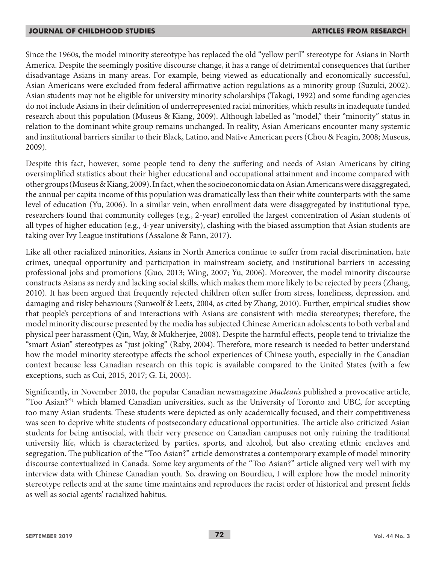Since the 1960s, the model minority stereotype has replaced the old "yellow peril" stereotype for Asians in North America. Despite the seemingly positive discourse change, it has a range of detrimental consequences that further disadvantage Asians in many areas. For example, being viewed as educationally and economically successful, Asian Americans were excluded from federal affirmative action regulations as a minority group (Suzuki, 2002). Asian students may not be eligible for university minority scholarships (Takagi, 1992) and some funding agencies do not include Asians in their definition of underrepresented racial minorities, which results in inadequate funded research about this population (Museus & Kiang, 2009). Although labelled as "model," their "minority" status in relation to the dominant white group remains unchanged. In reality, Asian Americans encounter many systemic and institutional barriers similar to their Black, Latino, and Native American peers (Chou & Feagin, 2008; Museus, 2009).

Despite this fact, however, some people tend to deny the suffering and needs of Asian Americans by citing oversimplified statistics about their higher educational and occupational attainment and income compared with other groups (Museus & Kiang, 2009). In fact, when the socioeconomic data on Asian Americans were disaggregated, the annual per capita income of this population was dramatically less than their white counterparts with the same level of education (Yu, 2006). In a similar vein, when enrollment data were disaggregated by institutional type, researchers found that community colleges (e.g., 2-year) enrolled the largest concentration of Asian students of all types of higher education (e.g., 4-year university), clashing with the biased assumption that Asian students are taking over Ivy League institutions (Assalone & Fann, 2017).

Like all other racialized minorities, Asians in North America continue to suffer from racial discrimination, hate crimes, unequal opportunity and participation in mainstream society, and institutional barriers in accessing professional jobs and promotions (Guo, 2013; Wing, 2007; Yu, 2006). Moreover, the model minority discourse constructs Asians as nerdy and lacking social skills, which makes them more likely to be rejected by peers (Zhang, 2010). It has been argued that frequently rejected children often suffer from stress, loneliness, depression, and damaging and risky behaviours (Sunwolf & Leets, 2004, as cited by Zhang, 2010). Further, empirical studies show that people's perceptions of and interactions with Asians are consistent with media stereotypes; therefore, the model minority discourse presented by the media has subjected Chinese American adolescents to both verbal and physical peer harassment (Qin, Way, & Mukherjee, 2008). Despite the harmful effects, people tend to trivialize the "smart Asian" stereotypes as "just joking" (Raby, 2004). Therefore, more research is needed to better understand how the model minority stereotype affects the school experiences of Chinese youth, especially in the Canadian context because less Canadian research on this topic is available compared to the United States (with a few exceptions, such as Cui, 2015, 2017; G. Li, 2003).

Significantly, in November 2010, the popular Canadian newsmagazine *Maclean's* published a provocative article, "Too Asian?"1 which blamed Canadian universities, such as the University of Toronto and UBC, for accepting too many Asian students. These students were depicted as only academically focused, and their competitiveness was seen to deprive white students of postsecondary educational opportunities. The article also criticized Asian students for being antisocial, with their very presence on Canadian campuses not only ruining the traditional university life, which is characterized by parties, sports, and alcohol, but also creating ethnic enclaves and segregation. The publication of the "Too Asian?" article demonstrates a contemporary example of model minority discourse contextualized in Canada. Some key arguments of the "Too Asian?" article aligned very well with my interview data with Chinese Canadian youth. So, drawing on Bourdieu, I will explore how the model minority stereotype reflects and at the same time maintains and reproduces the racist order of historical and present fields as well as social agents' racialized habitus.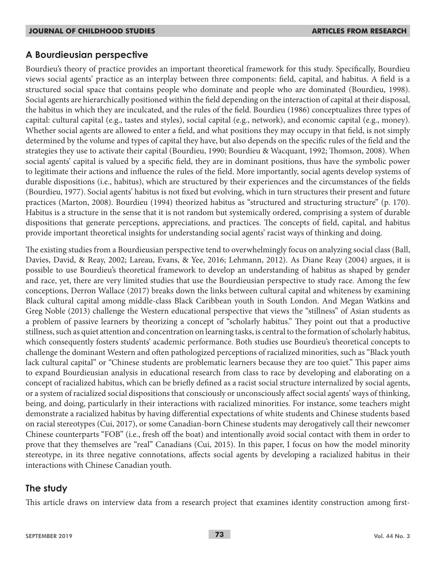### **A Bourdieusian perspective**

Bourdieu's theory of practice provides an important theoretical framework for this study. Specifically, Bourdieu views social agents' practice as an interplay between three components: field, capital, and habitus. A field is a structured social space that contains people who dominate and people who are dominated (Bourdieu, 1998). Social agents are hierarchically positioned within the field depending on the interaction of capital at their disposal, the habitus in which they are inculcated, and the rules of the field. Bourdieu (1986) conceptualizes three types of capital: cultural capital (e.g., tastes and styles), social capital (e.g., network), and economic capital (e.g., money). Whether social agents are allowed to enter a field, and what positions they may occupy in that field, is not simply determined by the volume and types of capital they have, but also depends on the specific rules of the field and the strategies they use to activate their capital (Bourdieu, 1990; Bourdieu & Wacquant, 1992; Thomson, 2008). When social agents' capital is valued by a specific field, they are in dominant positions, thus have the symbolic power to legitimate their actions and influence the rules of the field. More importantly, social agents develop systems of durable dispositions (i.e., habitus), which are structured by their experiences and the circumstances of the fields (Bourdieu, 1977). Social agents' habitus is not fixed but evolving, which in turn structures their present and future practices (Marton, 2008). Bourdieu (1994) theorized habitus as "structured and structuring structure" (p. 170). Habitus is a structure in the sense that it is not random but systemically ordered, comprising a system of durable dispositions that generate perceptions, appreciations, and practices. The concepts of field, capital, and habitus provide important theoretical insights for understanding social agents' racist ways of thinking and doing.

The existing studies from a Bourdieusian perspective tend to overwhelmingly focus on analyzing social class (Ball, Davies, David, & Reay, 2002; Lareau, Evans, & Yee, 2016; Lehmann, 2012). As Diane Reay (2004) argues, it is possible to use Bourdieu's theoretical framework to develop an understanding of habitus as shaped by gender and race, yet, there are very limited studies that use the Bourdieusian perspective to study race. Among the few conceptions, Derron Wallace (2017) breaks down the links between cultural capital and whiteness by examining Black cultural capital among middle-class Black Caribbean youth in South London. And Megan Watkins and Greg Noble (2013) challenge the Western educational perspective that views the "stillness" of Asian students as a problem of passive learners by theorizing a concept of "scholarly habitus." They point out that a productive stillness, such as quiet attention and concentration on learning tasks, is central to the formation of scholarly habitus, which consequently fosters students' academic performance. Both studies use Bourdieu's theoretical concepts to challenge the dominant Western and often pathologized perceptions of racialized minorities, such as "Black youth lack cultural capital" or "Chinese students are problematic learners because they are too quiet." This paper aims to expand Bourdieusian analysis in educational research from class to race by developing and elaborating on a concept of racialized habitus, which can be briefly defined as a racist social structure internalized by social agents, or a system of racialized social dispositions that consciously or unconsciously affect social agents' ways of thinking, being, and doing, particularly in their interactions with racialized minorities. For instance, some teachers might demonstrate a racialized habitus by having differential expectations of white students and Chinese students based on racial stereotypes (Cui, 2017), or some Canadian-born Chinese students may derogatively call their newcomer Chinese counterparts "FOB" (i.e., fresh off the boat) and intentionally avoid social contact with them in order to prove that they themselves are "real" Canadians (Cui, 2015). In this paper, I focus on how the model minority stereotype, in its three negative connotations, affects social agents by developing a racialized habitus in their interactions with Chinese Canadian youth.

## **The study**

This article draws on interview data from a research project that examines identity construction among first-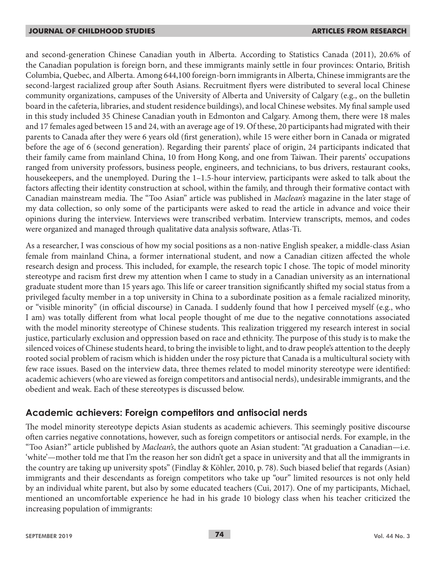and second-generation Chinese Canadian youth in Alberta. According to Statistics Canada (2011), 20.6% of the Canadian population is foreign born, and these immigrants mainly settle in four provinces: Ontario, British Columbia, Quebec, and Alberta. Among 644,100 foreign-born immigrants in Alberta, Chinese immigrants are the second-largest racialized group after South Asians. Recruitment flyers were distributed to several local Chinese community organizations, campuses of the University of Alberta and University of Calgary (e.g., on the bulletin board in the cafeteria, libraries, and student residence buildings), and local Chinese websites. My final sample used in this study included 35 Chinese Canadian youth in Edmonton and Calgary. Among them, there were 18 males and 17 females aged between 15 and 24, with an average age of 19. Of these, 20 participants had migrated with their parents to Canada after they were 6 years old (first generation), while 15 were either born in Canada or migrated before the age of 6 (second generation). Regarding their parents' place of origin, 24 participants indicated that their family came from mainland China, 10 from Hong Kong, and one from Taiwan. Their parents' occupations ranged from university professors, business people, engineers, and technicians, to bus drivers, restaurant cooks, housekeepers, and the unemployed. During the 1–1.5-hour interview, participants were asked to talk about the factors affecting their identity construction at school, within the family, and through their formative contact with Canadian mainstream media. The "Too Asian" article was published in *Maclean's* magazine in the later stage of my data collection, so only some of the participants were asked to read the article in advance and voice their opinions during the interview. Interviews were transcribed verbatim. Interview transcripts, memos, and codes were organized and managed through qualitative data analysis software, Atlas-Ti.

As a researcher, I was conscious of how my social positions as a non-native English speaker, a middle-class Asian female from mainland China, a former international student, and now a Canadian citizen affected the whole research design and process. This included, for example, the research topic I chose. The topic of model minority stereotype and racism first drew my attention when I came to study in a Canadian university as an international graduate student more than 15 years ago. This life or career transition significantly shifted my social status from a privileged faculty member in a top university in China to a subordinate position as a female racialized minority, or "visible minority" (in official discourse) in Canada. I suddenly found that how I perceived myself (e.g., who I am) was totally different from what local people thought of me due to the negative connotations associated with the model minority stereotype of Chinese students. This realization triggered my research interest in social justice, particularly exclusion and oppression based on race and ethnicity. The purpose of this study is to make the silenced voices of Chinese students heard, to bring the invisible to light, and to draw people's attention to the deeply rooted social problem of racism which is hidden under the rosy picture that Canada is a multicultural society with few race issues. Based on the interview data, three themes related to model minority stereotype were identified: academic achievers (who are viewed as foreign competitors and antisocial nerds), undesirable immigrants, and the obedient and weak. Each of these stereotypes is discussed below.

## **Academic achievers: Foreign competitors and antisocial nerds**

The model minority stereotype depicts Asian students as academic achievers. This seemingly positive discourse often carries negative connotations, however, such as foreign competitors or antisocial nerds. For example, in the "Too Asian?" article published by *Maclean's*, the authors quote an Asian student: "At graduation a Canadian—i.e. 'white'—mother told me that I'm the reason her son didn't get a space in university and that all the immigrants in the country are taking up university spots" (Findlay & Köhler, 2010, p. 78). Such biased belief that regards (Asian) immigrants and their descendants as foreign competitors who take up "our" limited resources is not only held by an individual white parent, but also by some educated teachers (Cui, 2017). One of my participants, Michael, mentioned an uncomfortable experience he had in his grade 10 biology class when his teacher criticized the increasing population of immigrants: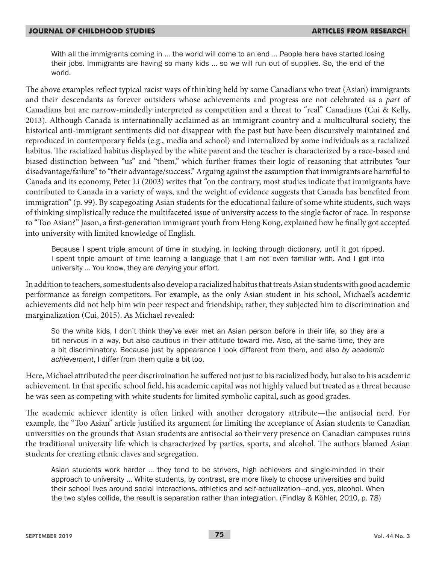With all the immigrants coming in … the world will come to an end … People here have started losing their jobs. Immigrants are having so many kids … so we will run out of supplies. So, the end of the world.

The above examples reflect typical racist ways of thinking held by some Canadians who treat (Asian) immigrants and their descendants as forever outsiders whose achievements and progress are not celebrated as a *part* of Canadians but are narrow-mindedly interpreted as competition and a threat to "real" Canadians (Cui & Kelly, 2013). Although Canada is internationally acclaimed as an immigrant country and a multicultural society, the historical anti-immigrant sentiments did not disappear with the past but have been discursively maintained and reproduced in contemporary fields (e.g., media and school) and internalized by some individuals as a racialized habitus. The racialized habitus displayed by the white parent and the teacher is characterized by a race-based and biased distinction between "us" and "them," which further frames their logic of reasoning that attributes "our disadvantage/failure" to "their advantage/success." Arguing against the assumption that immigrants are harmful to Canada and its economy, Peter Li (2003) writes that "on the contrary, most studies indicate that immigrants have contributed to Canada in a variety of ways, and the weight of evidence suggests that Canada has benefited from immigration" (p. 99). By scapegoating Asian students for the educational failure of some white students, such ways of thinking simplistically reduce the multifaceted issue of university access to the single factor of race. In response to "Too Asian?" Jason, a first-generation immigrant youth from Hong Kong, explained how he finally got accepted into university with limited knowledge of English.

Because I spent triple amount of time in studying, in looking through dictionary, until it got ripped. I spent triple amount of time learning a language that I am not even familiar with. And I got into university … You know, they are *denying* your effort.

In addition to teachers, some students also develop a racialized habitus that treats Asian students with good academic performance as foreign competitors. For example, as the only Asian student in his school, Michael's academic achievements did not help him win peer respect and friendship; rather, they subjected him to discrimination and marginalization (Cui, 2015). As Michael revealed:

So the white kids, I don't think they've ever met an Asian person before in their life, so they are a bit nervous in a way, but also cautious in their attitude toward me. Also, at the same time, they are a bit discriminatory. Because just by appearance I look different from them, and also *by academic achievement*, I differ from them quite a bit too.

Here, Michael attributed the peer discrimination he suffered not just to his racialized body, but also to his academic achievement. In that specific school field, his academic capital was not highly valued but treated as a threat because he was seen as competing with white students for limited symbolic capital, such as good grades.

The academic achiever identity is often linked with another derogatory attribute—the antisocial nerd. For example, the "Too Asian" article justified its argument for limiting the acceptance of Asian students to Canadian universities on the grounds that Asian students are antisocial so their very presence on Canadian campuses ruins the traditional university life which is characterized by parties, sports, and alcohol. The authors blamed Asian students for creating ethnic claves and segregation.

Asian students work harder … they tend to be strivers, high achievers and single-minded in their approach to university … White students, by contrast, are more likely to choose universities and build their school lives around social interactions, athletics and self-actualization—and, yes, alcohol. When the two styles collide, the result is separation rather than integration. (Findlay & Köhler, 2010, p. 78)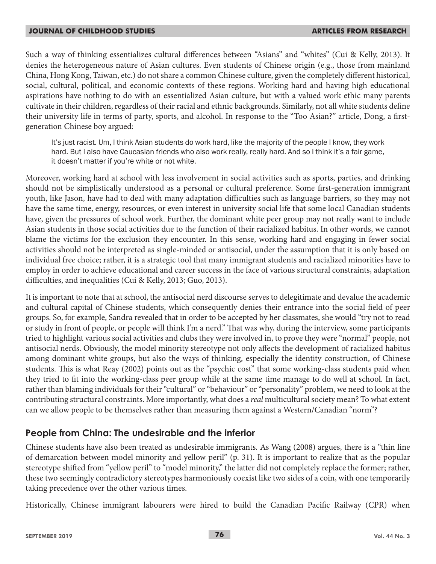Such a way of thinking essentializes cultural differences between "Asians" and "whites" (Cui & Kelly, 2013). It denies the heterogeneous nature of Asian cultures. Even students of Chinese origin (e.g., those from mainland China, Hong Kong, Taiwan, etc.) do not share a common Chinese culture, given the completely different historical, social, cultural, political, and economic contexts of these regions. Working hard and having high educational aspirations have nothing to do with an essentialized Asian culture, but with a valued work ethic many parents cultivate in their children, regardless of their racial and ethnic backgrounds. Similarly, not all white students define their university life in terms of party, sports, and alcohol. In response to the "Too Asian?" article, Dong, a firstgeneration Chinese boy argued:

It's just racist. Um, I think Asian students do work hard, like the majority of the people I know, they work hard. But I also have Caucasian friends who also work really, really hard. And so I think it's a fair game, it doesn't matter if you're white or not white.

Moreover, working hard at school with less involvement in social activities such as sports, parties, and drinking should not be simplistically understood as a personal or cultural preference. Some first-generation immigrant youth, like Jason, have had to deal with many adaptation difficulties such as language barriers, so they may not have the same time, energy, resources, or even interest in university social life that some local Canadian students have, given the pressures of school work. Further, the dominant white peer group may not really want to include Asian students in those social activities due to the function of their racialized habitus. In other words, we cannot blame the victims for the exclusion they encounter. In this sense, working hard and engaging in fewer social activities should not be interpreted as single-minded or antisocial, under the assumption that it is only based on individual free choice; rather, it is a strategic tool that many immigrant students and racialized minorities have to employ in order to achieve educational and career success in the face of various structural constraints, adaptation difficulties, and inequalities (Cui & Kelly, 2013; Guo, 2013).

It is important to note that at school, the antisocial nerd discourse serves to delegitimate and devalue the academic and cultural capital of Chinese students, which consequently denies their entrance into the social field of peer groups. So, for example, Sandra revealed that in order to be accepted by her classmates, she would "try not to read or study in front of people, or people will think I'm a nerd." That was why, during the interview, some participants tried to highlight various social activities and clubs they were involved in, to prove they were "normal" people, not antisocial nerds. Obviously, the model minority stereotype not only affects the development of racialized habitus among dominant white groups, but also the ways of thinking, especially the identity construction, of Chinese students. This is what Reay (2002) points out as the "psychic cost" that some working-class students paid when they tried to fit into the working-class peer group while at the same time manage to do well at school. In fact, rather than blaming individuals for their "cultural" or "behaviour" or "personality" problem, we need to look at the contributing structural constraints. More importantly, what does a *real* multicultural society mean? To what extent can we allow people to be themselves rather than measuring them against a Western/Canadian "norm"?

## **People from China: The undesirable and the inferior**

Chinese students have also been treated as undesirable immigrants. As Wang (2008) argues, there is a "thin line of demarcation between model minority and yellow peril" (p. 31). It is important to realize that as the popular stereotype shifted from "yellow peril" to "model minority," the latter did not completely replace the former; rather, these two seemingly contradictory stereotypes harmoniously coexist like two sides of a coin, with one temporarily taking precedence over the other various times.

Historically, Chinese immigrant labourers were hired to build the Canadian Pacific Railway (CPR) when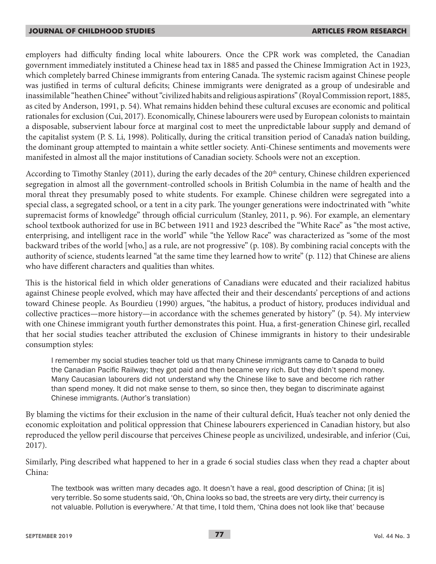employers had difficulty finding local white labourers. Once the CPR work was completed, the Canadian government immediately instituted a Chinese head tax in 1885 and passed the Chinese Immigration Act in 1923, which completely barred Chinese immigrants from entering Canada. The systemic racism against Chinese people was justified in terms of cultural deficits; Chinese immigrants were denigrated as a group of undesirable and inassimilable "heathen Chinee" without "civilized habits and religious aspirations" (Royal Commission report, 1885, as cited by Anderson, 1991, p. 54). What remains hidden behind these cultural excuses are economic and political rationales for exclusion (Cui, 2017). Economically, Chinese labourers were used by European colonists to maintain a disposable, subservient labour force at marginal cost to meet the unpredictable labour supply and demand of the capitalist system (P. S. Li, 1998). Politically, during the critical transition period of Canada's nation building, the dominant group attempted to maintain a white settler society. Anti-Chinese sentiments and movements were manifested in almost all the major institutions of Canadian society. Schools were not an exception.

According to Timothy Stanley (2011), during the early decades of the  $20<sup>th</sup>$  century, Chinese children experienced segregation in almost all the government-controlled schools in British Columbia in the name of health and the moral threat they presumably posed to white students. For example. Chinese children were segregated into a special class, a segregated school, or a tent in a city park. The younger generations were indoctrinated with "white supremacist forms of knowledge" through official curriculum (Stanley, 2011, p. 96). For example, an elementary school textbook authorized for use in BC between 1911 and 1923 described the "White Race" as "the most active, enterprising, and intelligent race in the world" while "the Yellow Race" was characterized as "some of the most backward tribes of the world [who,] as a rule, are not progressive" (p. 108). By combining racial concepts with the authority of science, students learned "at the same time they learned how to write" (p. 112) that Chinese are aliens who have different characters and qualities than whites.

This is the historical field in which older generations of Canadians were educated and their racialized habitus against Chinese people evolved, which may have affected their and their descendants' perceptions of and actions toward Chinese people. As Bourdieu (1990) argues, "the habitus, a product of history, produces individual and collective practices—more history—in accordance with the schemes generated by history" (p. 54). My interview with one Chinese immigrant youth further demonstrates this point. Hua, a first-generation Chinese girl, recalled that her social studies teacher attributed the exclusion of Chinese immigrants in history to their undesirable consumption styles:

I remember my social studies teacher told us that many Chinese immigrants came to Canada to build the Canadian Pacific Railway; they got paid and then became very rich. But they didn't spend money. Many Caucasian labourers did not understand why the Chinese like to save and become rich rather than spend money. It did not make sense to them, so since then, they began to discriminate against Chinese immigrants. (Author's translation)

By blaming the victims for their exclusion in the name of their cultural deficit, Hua's teacher not only denied the economic exploitation and political oppression that Chinese labourers experienced in Canadian history, but also reproduced the yellow peril discourse that perceives Chinese people as uncivilized, undesirable, and inferior (Cui, 2017).

Similarly, Ping described what happened to her in a grade 6 social studies class when they read a chapter about China:

The textbook was written many decades ago. It doesn't have a real, good description of China; [it is] very terrible. So some students said, 'Oh, China looks so bad, the streets are very dirty, their currency is not valuable. Pollution is everywhere.' At that time, I told them, 'China does not look like that' because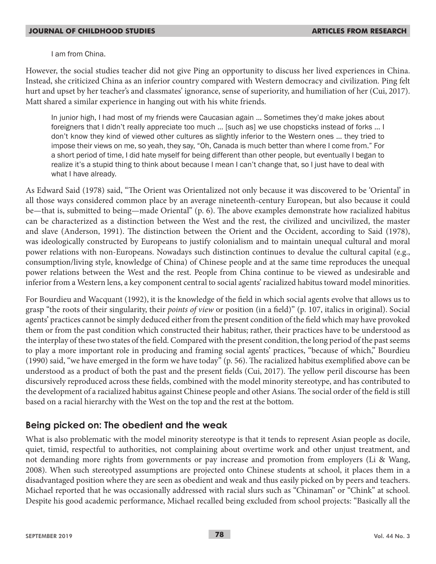I am from China.

However, the social studies teacher did not give Ping an opportunity to discuss her lived experiences in China. Instead, she criticized China as an inferior country compared with Western democracy and civilization. Ping felt hurt and upset by her teacher's and classmates' ignorance, sense of superiority, and humiliation of her (Cui, 2017). Matt shared a similar experience in hanging out with his white friends.

In junior high, I had most of my friends were Caucasian again … Sometimes they'd make jokes about foreigners that I didn't really appreciate too much … [such as] we use chopsticks instead of forks … I don't know they kind of viewed other cultures as slightly inferior to the Western ones … they tried to impose their views on me, so yeah, they say, "Oh, Canada is much better than where I come from." For a short period of time, I did hate myself for being different than other people, but eventually I began to realize it's a stupid thing to think about because I mean I can't change that, so I just have to deal with what I have already.

As Edward Said (1978) said, "The Orient was Orientalized not only because it was discovered to be 'Oriental' in all those ways considered common place by an average nineteenth-century European, but also because it could be—that is, submitted to being—made Oriental" (p. 6). The above examples demonstrate how racialized habitus can be characterized as a distinction between the West and the rest, the civilized and uncivilized, the master and slave (Anderson, 1991). The distinction between the Orient and the Occident, according to Said (1978), was ideologically constructed by Europeans to justify colonialism and to maintain unequal cultural and moral power relations with non-Europeans. Nowadays such distinction continues to devalue the cultural capital (e.g., consumption/living style, knowledge of China) of Chinese people and at the same time reproduces the unequal power relations between the West and the rest. People from China continue to be viewed as undesirable and inferior from a Western lens, a key component central to social agents' racialized habitus toward model minorities.

For Bourdieu and Wacquant (1992), it is the knowledge of the field in which social agents evolve that allows us to grasp "the roots of their singularity, their *points of view* or position (in a field)" (p. 107, italics in original). Social agents' practices cannot be simply deduced either from the present condition of the field which may have provoked them or from the past condition which constructed their habitus; rather, their practices have to be understood as the interplay of these two states of the field. Compared with the present condition, the long period of the past seems to play a more important role in producing and framing social agents' practices, "because of which," Bourdieu (1990) said, "we have emerged in the form we have today" (p. 56). The racialized habitus exemplified above can be understood as a product of both the past and the present fields (Cui, 2017). The yellow peril discourse has been discursively reproduced across these fields, combined with the model minority stereotype, and has contributed to the development of a racialized habitus against Chinese people and other Asians. The social order of the field is still based on a racial hierarchy with the West on the top and the rest at the bottom.

## **Being picked on: The obedient and the weak**

What is also problematic with the model minority stereotype is that it tends to represent Asian people as docile, quiet, timid, respectful to authorities, not complaining about overtime work and other unjust treatment, and not demanding more rights from governments or pay increase and promotion from employers (Li & Wang, 2008). When such stereotyped assumptions are projected onto Chinese students at school, it places them in a disadvantaged position where they are seen as obedient and weak and thus easily picked on by peers and teachers. Michael reported that he was occasionally addressed with racial slurs such as "Chinaman" or "Chink" at school. Despite his good academic performance, Michael recalled being excluded from school projects: "Basically all the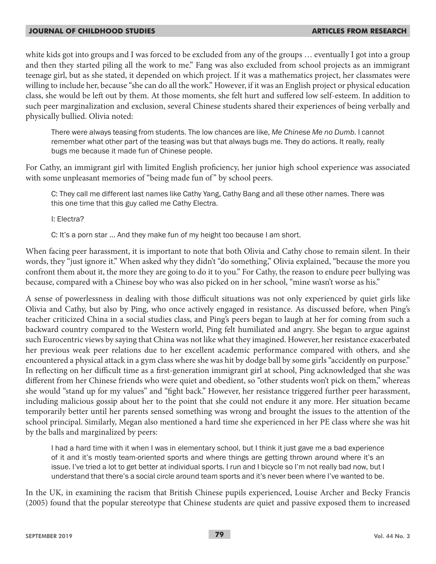white kids got into groups and I was forced to be excluded from any of the groups … eventually I got into a group and then they started piling all the work to me." Fang was also excluded from school projects as an immigrant teenage girl, but as she stated, it depended on which project. If it was a mathematics project, her classmates were willing to include her, because "she can do all the work." However, if it was an English project or physical education class, she would be left out by them. At those moments, she felt hurt and suffered low self-esteem. In addition to such peer marginalization and exclusion, several Chinese students shared their experiences of being verbally and physically bullied. Olivia noted:

There were always teasing from students. The low chances are like, *Me Chinese Me no Dumb*. I cannot remember what other part of the teasing was but that always bugs me. They do actions. It really, really bugs me because it made fun of Chinese people.

For Cathy, an immigrant girl with limited English proficiency, her junior high school experience was associated with some unpleasant memories of "being made fun of" by school peers.

C: They call me different last names like Cathy Yang, Cathy Bang and all these other names. There was this one time that this guy called me Cathy Electra.

I: Electra?

C: It's a porn star … And they make fun of my height too because I am short.

When facing peer harassment, it is important to note that both Olivia and Cathy chose to remain silent. In their words, they "just ignore it." When asked why they didn't "do something," Olivia explained, "because the more you confront them about it, the more they are going to do it to you." For Cathy, the reason to endure peer bullying was because, compared with a Chinese boy who was also picked on in her school, "mine wasn't worse as his."

A sense of powerlessness in dealing with those difficult situations was not only experienced by quiet girls like Olivia and Cathy, but also by Ping, who once actively engaged in resistance. As discussed before, when Ping's teacher criticized China in a social studies class, and Ping's peers began to laugh at her for coming from such a backward country compared to the Western world, Ping felt humiliated and angry. She began to argue against such Eurocentric views by saying that China was not like what they imagined. However, her resistance exacerbated her previous weak peer relations due to her excellent academic performance compared with others, and she encountered a physical attack in a gym class where she was hit by dodge ball by some girls "accidently on purpose." In reflecting on her difficult time as a first-generation immigrant girl at school, Ping acknowledged that she was different from her Chinese friends who were quiet and obedient, so "other students won't pick on them," whereas she would "stand up for my values" and "fight back." However, her resistance triggered further peer harassment, including malicious gossip about her to the point that she could not endure it any more. Her situation became temporarily better until her parents sensed something was wrong and brought the issues to the attention of the school principal. Similarly, Megan also mentioned a hard time she experienced in her PE class where she was hit by the balls and marginalized by peers:

I had a hard time with it when I was in elementary school, but I think it just gave me a bad experience of it and it's mostly team-oriented sports and where things are getting thrown around where it's an issue. I've tried a lot to get better at individual sports. I run and I bicycle so I'm not really bad now, but I understand that there's a social circle around team sports and it's never been where I've wanted to be.

In the UK, in examining the racism that British Chinese pupils experienced, Louise Archer and Becky Francis (2005) found that the popular stereotype that Chinese students are quiet and passive exposed them to increased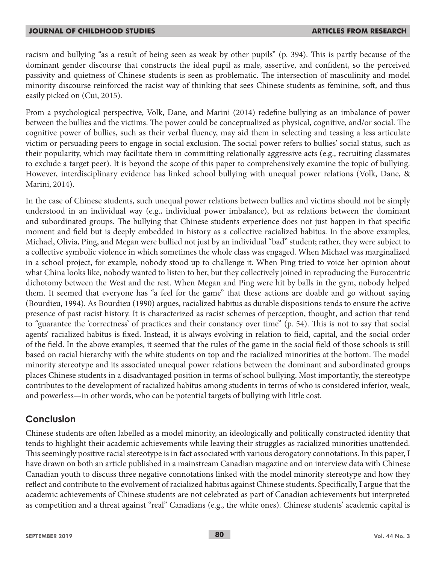racism and bullying "as a result of being seen as weak by other pupils" (p. 394). This is partly because of the dominant gender discourse that constructs the ideal pupil as male, assertive, and confident, so the perceived passivity and quietness of Chinese students is seen as problematic. The intersection of masculinity and model minority discourse reinforced the racist way of thinking that sees Chinese students as feminine, soft, and thus easily picked on (Cui, 2015).

From a psychological perspective, Volk, Dane, and Marini (2014) redefine bullying as an imbalance of power between the bullies and the victims. The power could be conceptualized as physical, cognitive, and/or social. The cognitive power of bullies, such as their verbal fluency, may aid them in selecting and teasing a less articulate victim or persuading peers to engage in social exclusion. The social power refers to bullies' social status, such as their popularity, which may facilitate them in committing relationally aggressive acts (e.g., recruiting classmates to exclude a target peer). It is beyond the scope of this paper to comprehensively examine the topic of bullying. However, interdisciplinary evidence has linked school bullying with unequal power relations (Volk, Dane, & Marini, 2014).

In the case of Chinese students, such unequal power relations between bullies and victims should not be simply understood in an individual way (e.g., individual power imbalance), but as relations between the dominant and subordinated groups. The bullying that Chinese students experience does not just happen in that specific moment and field but is deeply embedded in history as a collective racialized habitus. In the above examples, Michael, Olivia, Ping, and Megan were bullied not just by an individual "bad" student; rather, they were subject to a collective symbolic violence in which sometimes the whole class was engaged. When Michael was marginalized in a school project, for example, nobody stood up to challenge it. When Ping tried to voice her opinion about what China looks like, nobody wanted to listen to her, but they collectively joined in reproducing the Eurocentric dichotomy between the West and the rest. When Megan and Ping were hit by balls in the gym, nobody helped them. It seemed that everyone has "a feel for the game" that these actions are doable and go without saying (Bourdieu, 1994). As Bourdieu (1990) argues, racialized habitus as durable dispositions tends to ensure the active presence of past racist history. It is characterized as racist schemes of perception, thought, and action that tend to "guarantee the 'correctness' of practices and their constancy over time" (p. 54). This is not to say that social agents' racialized habitus is fixed. Instead, it is always evolving in relation to field, capital, and the social order of the field. In the above examples, it seemed that the rules of the game in the social field of those schools is still based on racial hierarchy with the white students on top and the racialized minorities at the bottom. The model minority stereotype and its associated unequal power relations between the dominant and subordinated groups places Chinese students in a disadvantaged position in terms of school bullying. Most importantly, the stereotype contributes to the development of racialized habitus among students in terms of who is considered inferior, weak, and powerless—in other words, who can be potential targets of bullying with little cost.

## **Conclusion**

Chinese students are often labelled as a model minority, an ideologically and politically constructed identity that tends to highlight their academic achievements while leaving their struggles as racialized minorities unattended. This seemingly positive racial stereotype is in fact associated with various derogatory connotations. In this paper, I have drawn on both an article published in a mainstream Canadian magazine and on interview data with Chinese Canadian youth to discuss three negative connotations linked with the model minority stereotype and how they reflect and contribute to the evolvement of racialized habitus against Chinese students. Specifically, I argue that the academic achievements of Chinese students are not celebrated as part of Canadian achievements but interpreted as competition and a threat against "real" Canadians (e.g., the white ones). Chinese students' academic capital is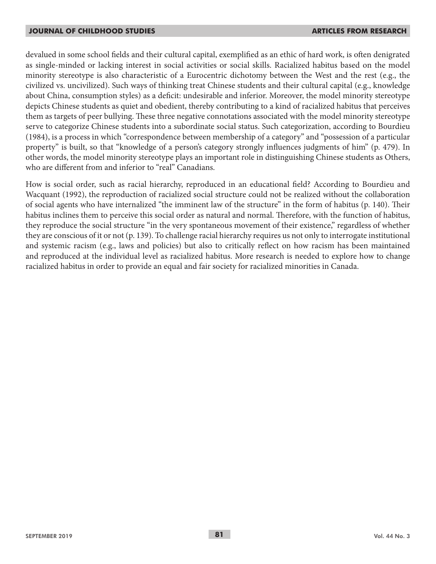devalued in some school fields and their cultural capital, exemplified as an ethic of hard work, is often denigrated as single-minded or lacking interest in social activities or social skills. Racialized habitus based on the model minority stereotype is also characteristic of a Eurocentric dichotomy between the West and the rest (e.g., the civilized vs. uncivilized). Such ways of thinking treat Chinese students and their cultural capital (e.g., knowledge about China, consumption styles) as a deficit: undesirable and inferior. Moreover, the model minority stereotype depicts Chinese students as quiet and obedient, thereby contributing to a kind of racialized habitus that perceives them as targets of peer bullying. These three negative connotations associated with the model minority stereotype serve to categorize Chinese students into a subordinate social status. Such categorization, according to Bourdieu (1984), is a process in which "correspondence between membership of a category" and "possession of a particular property" is built, so that "knowledge of a person's category strongly influences judgments of him" (p. 479). In other words, the model minority stereotype plays an important role in distinguishing Chinese students as Others, who are different from and inferior to "real" Canadians.

How is social order, such as racial hierarchy, reproduced in an educational field? According to Bourdieu and Wacquant (1992), the reproduction of racialized social structure could not be realized without the collaboration of social agents who have internalized "the imminent law of the structure" in the form of habitus (p. 140). Their habitus inclines them to perceive this social order as natural and normal. Therefore, with the function of habitus, they reproduce the social structure "in the very spontaneous movement of their existence," regardless of whether they are conscious of it or not (p. 139). To challenge racial hierarchy requires us not only to interrogate institutional and systemic racism (e.g., laws and policies) but also to critically reflect on how racism has been maintained and reproduced at the individual level as racialized habitus. More research is needed to explore how to change racialized habitus in order to provide an equal and fair society for racialized minorities in Canada.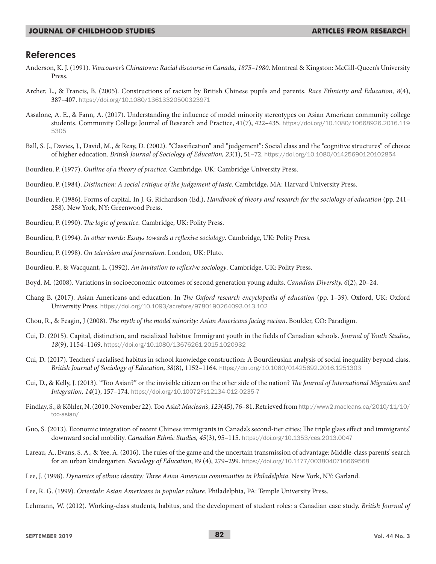### **References**

- Anderson, K. J. (1991). *Vancouver's Chinatown: Racial discourse in Canada, 1875–1980*. Montreal & Kingston: McGill-Queen's University Press.
- Archer, L., & Francis, B. (2005). Constructions of racism by British Chinese pupils and parents. *Race Ethnicity and Education, 8*(4), 387–407. https://doi.org/10.1080/13613320500323971
- Assalone, A. E., & Fann, A. (2017). Understanding the influence of model minority stereotypes on Asian American community college students. Community College Journal of Research and Practice, 41(7), 422–435. https://doi.org/10.1080/10668926.2016.119 5305
- Ball, S. J., Davies, J., David, M., & Reay, D. (2002). "Classification" and "judgement": Social class and the "cognitive structures" of choice of higher education. *British Journal of Sociology of Education, 23*(1), 51–72. https://doi.org/10.1080/01425690120102854
- Bourdieu, P. (1977). *Outline of a theory of practice*. Cambridge, UK: Cambridge University Press.
- Bourdieu, P. (1984). *Distinction: A social critique of the judgement of taste*. Cambridge, MA: Harvard University Press.
- Bourdieu, P. (1986). Forms of capital. In J. G. Richardson (Ed.), *Handbook of theory and research for the sociology of education* (pp. 241– 258). New York, NY: Greenwood Press.
- Bourdieu, P. (1990). *The logic of practice*. Cambridge, UK: Polity Press.
- Bourdieu, P. (1994). *In other words: Essays towards a reflexive sociology*. Cambridge, UK: Polity Press.
- Bourdieu, P. (1998). *On television and journalism*. London, UK: Pluto.
- Bourdieu, P., & Wacquant, L. (1992). *An invitation to reflexive sociology*. Cambridge, UK: Polity Press.
- Boyd, M. (2008). Variations in socioeconomic outcomes of second generation young adults. *Canadian Diversity, 6*(2), 20–24.
- Chang B. (2017). Asian Americans and education. In *The Oxford research encyclopedia of education* (pp. 1–39). Oxford, UK: Oxford University Press. https://doi.org/10.1093/acrefore/9780190264093.013.102
- Chou, R., & Feagin, J (2008). *The myth of the model minority: Asian Americans facing racism*. Boulder, CO: Paradigm.
- Cui, D. (2015). Capital, distinction, and racialized habitus: Immigrant youth in the fields of Canadian schools. *Journal of Youth Studies*, *18*(9), 1154–1169. https://doi.org/10.1080/13676261.2015.1020932
- Cui, D. (2017). Teachers' racialised habitus in school knowledge construction: A Bourdieusian analysis of social inequality beyond class. *British Journal of Sociology of Education*, *38*(8), 1152–1164. https://doi.org/10.1080/01425692.2016.1251303
- Cui, D., & Kelly, J. (2013). "Too Asian?" or the invisible citizen on the other side of the nation? *The Journal of International Migration and Integration, 14*(1), 157–174*.* https://doi.org/10.10072Fs12134-012-0235-7
- Findlay, S., & Köhler, N. (2010, November 22). Too Asia? *Maclean's*, *123*(45), 76–81. Retrieved from http://www2.macleans.ca/2010/11/10/ too-asian/
- Guo, S. (2013). Economic integration of recent Chinese immigrants in Canada's second-tier cities: The triple glass effect and immigrants' downward social mobility. *Canadian Ethnic Studies, 45*(3), 95–115. https://doi.org/10.1353/ces.2013.0047
- Lareau, A., Evans, S. A., & Yee, A. (2016). The rules of the game and the uncertain transmission of advantage: Middle-class parents' search for an urban kindergarten. *Sociology of Education*, *89* (4), 279–299. https://doi.org/10.1177/0038040716669568
- Lee, J. (1998). *Dynamics of ethnic identity: Three Asian American communities in Philadelphia*. New York, NY: Garland.
- Lee, R. G. (1999). *Orientals: Asian Americans in popular culture.* Philadelphia, PA: Temple University Press.
- Lehmann, W. (2012). Working-class students, habitus, and the development of student roles: a Canadian case study. *British Journal of*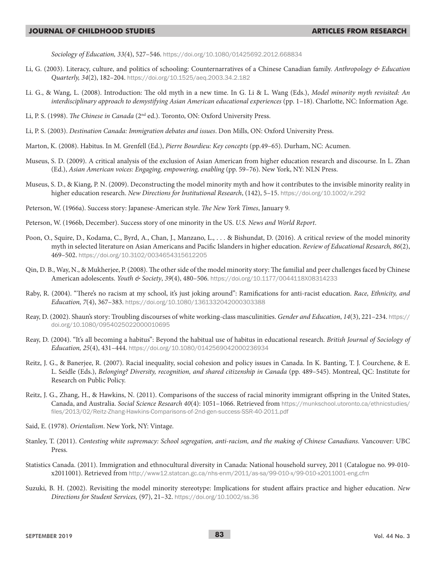*Sociology of Education, 33(*4), 527–546. https://doi.org/10.1080/01425692.2012.668834

- Li, G. (2003). Literacy, culture, and politics of schooling: Counternarratives of a Chinese Canadian family. *Anthropology & Education Quarterly, 34*(2), 182–204. https://doi.org/10.1525/aeq.2003.34.2.182
- Li. G., & Wang, L. (2008). Introduction: The old myth in a new time. In G. Li & L. Wang (Eds.), *Model minority myth revisited: An interdisciplinary approach to demystifying Asian American educational experiences* (pp. 1–18). Charlotte, NC: Information Age.
- Li, P. S. (1998). *The Chinese in Canada* (2nd ed.). Toronto, ON: Oxford University Press.
- Li, P. S. (2003). *Destination Canada: Immigration debates and issues*. Don Mills, ON: Oxford University Press.
- Marton, K. (2008). Habitus. In M. Grenfell (Ed.), *Pierre Bourdieu: Key concepts* (pp.49–65). Durham, NC: Acumen.
- Museus, S. D. (2009). A critical analysis of the exclusion of Asian American from higher education research and discourse. In L. Zhan (Ed.), *Asian American voices: Engaging, empowering, enabling* (pp. 59–76). New York, NY: NLN Press.
- Museus, S. D., & Kiang, P. N. (2009). Deconstructing the model minority myth and how it contributes to the invisible minority reality in higher education research. *New Directions for Institutional Research*, (142), 5–15. https://doi.org/10.1002/ir.292
- Peterson, W. (1966a). Success story: Japanese-American style. *The New York Times*, January 9*.*
- Peterson, W. (1966b, December). Success story of one minority in the US. *U.S. News and World Report*.
- Poon, O., Squire, D., Kodama, C., Byrd, A., Chan, J., Manzano, L., . . . & Bishundat, D. (2016). A critical review of the model minority myth in selected literature on Asian Americans and Pacific Islanders in higher education. *Review of Educational Research, 86*(2), 469–502. https://doi.org/10.3102/0034654315612205
- Qin, D. B., Way, N., & Mukherjee, P. (2008). The other side of the model minority story: The familial and peer challenges faced by Chinese American adolescents. *Youth & Society*, *39*(4), 480–506. https://doi.org/10.1177/0044118X08314233
- Raby, R. (2004). "There's no racism at my school, it's just joking around": Ramifications for anti-racist education. *Race, Ethnicity, and Education, 7*(4), 367–383. https://doi.org/10.1080/1361332042000303388
- Reay, D. (2002). Shaun's story: Troubling discourses of white working-class masculinities. *Gender and Education*, *14*(3), 221–234. https:// doi.org/10.1080/0954025022000010695
- Reay, D. (2004). "It's all becoming a habitus": Beyond the habitual use of habitus in educational research. *British Journal of Sociology of Education, 25*(4), 431–444. https://doi.org/10.1080/0142569042000236934
- Reitz, J. G., & Banerjee, R. (2007). Racial inequality, social cohesion and policy issues in Canada. In K. Banting, T. J. Courchene, & E. L. Seidle (Eds.), *Belonging? Diversity, recognition, and shared citizenship in Canada* (pp. 489–545). Montreal, QC: Institute for Research on Public Policy.
- Reitz, J. G., Zhang, H., & Hawkins, N. (2011). Comparisons of the success of racial minority immigrant offspring in the United States, Canada, and Australia. *Social Science Research 40*(4): 1051–1066. Retrieved from https://munkschool.utoronto.ca/ethnicstudies/ files/2013/02/Reitz-Zhang-Hawkins-Comparisons-of-2nd-gen-success-SSR-40-2011.pdf
- Said, E. (1978). *Orientalism*. New York, NY: Vintage.
- Stanley, T. (2011). *Contesting white supremacy: School segregation, anti-racism, and the making of Chinese Canadians*. Vancouver: UBC Press.
- Statistics Canada. (2011). Immigration and ethnocultural diversity in Canada: National household survey, 2011 (Catalogue no. 99-010 x2011001). Retrieved from http://www12.statcan.gc.ca/nhs-enm/2011/as-sa/99-010-x/99-010-x2011001-eng.cfm
- Suzuki, B. H. (2002). Revisiting the model minority stereotype: Implications for student affairs practice and higher education. *New Directions for Student Services,* (97), 21–32. https://doi.org/10.1002/ss.36